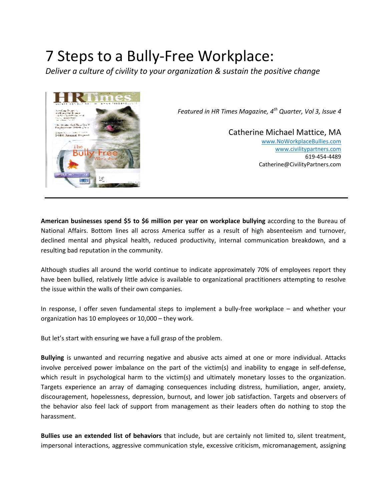# 7 Steps to a Bully-Free Workplace:

*Deliver a culture of civility to your organization & sustain the positive change* 



*Featured in HR Times Magazine, 4th Quarter, Vol 3, Issue 4*

Catherine Michael Mattice, MA www.NoWorkplaceBullies.com www.civilitypartners.com 619-454-4489 Catherine@CivilityPartners.com

**American businesses spend \$5 to \$6 million per year on workplace bullying** according to the Bureau of National Affairs. Bottom lines all across America suffer as a result of high absenteeism and turnover, declined mental and physical health, reduced productivity, internal communication breakdown, and a resulting bad reputation in the community.

Although studies all around the world continue to indicate approximately 70% of employees report they have been bullied, relatively little advice is available to organizational practitioners attempting to resolve the issue within the walls of their own companies.

In response, I offer seven fundamental steps to implement a bully-free workplace – and whether your organization has 10 employees or 10,000 – they work.

But let's start with ensuring we have a full grasp of the problem.

**Bullying** is unwanted and recurring negative and abusive acts aimed at one or more individual. Attacks involve perceived power imbalance on the part of the victim(s) and inability to engage in self-defense, which result in psychological harm to the victim(s) and ultimately monetary losses to the organization. Targets experience an array of damaging consequences including distress, humiliation, anger, anxiety, discouragement, hopelessness, depression, burnout, and lower job satisfaction. Targets and observers of the behavior also feel lack of support from management as their leaders often do nothing to stop the harassment.

**Bullies use an extended list of behaviors** that include, but are certainly not limited to, silent treatment, impersonal interactions, aggressive communication style, excessive criticism, micromanagement, assigning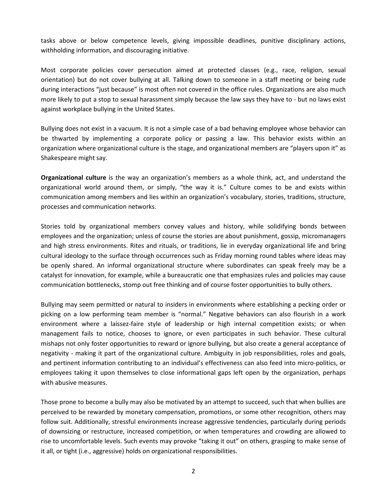tasks above or below competence levels, giving impossible deadlines, punitive disciplinary actions, withholding information, and discouraging initiative.

Most corporate policies cover persecution aimed at protected classes (e.g., race, religion, sexual orientation) but do not cover bullying at all. Talking down to someone in a staff meeting or being rude during interactions "just because" is most often not covered in the office rules. Organizations are also much more likely to put a stop to sexual harassment simply because the law says they have to - but no laws exist against workplace bullying in the United States.

Bullying does not exist in a vacuum. It is not a simple case of a bad behaving employee whose behavior can be thwarted by implementing a corporate policy or passing a law. This behavior exists within an organization where organizational culture is the stage, and organizational members are "players upon it" as Shakespeare might say.

**Organizational culture** is the way an organization's members as a whole think, act, and understand the organizational world around them, or simply, "the way it is." Culture comes to be and exists within communication among members and lies within an organization's vocabulary, stories, traditions, structure, processes and communication networks.

Stories told by organizational members convey values and history, while solidifying bonds between employees and the organization; unless of course the stories are about punishment, gossip, micromanagers and high stress environments. Rites and rituals, or traditions, lie in everyday organizational life and bring cultural ideology to the surface through occurrences such as Friday morning round tables where ideas may be openly shared. An informal organizational structure where subordinates can speak freely may be a catalyst for innovation, for example, while a bureaucratic one that emphasizes rules and policies may cause communication bottlenecks, stomp out free thinking and of course foster opportunities to bully others.

Bullying may seem permitted or natural to insiders in environments where establishing a pecking order or picking on a low performing team member is "normal." Negative behaviors can also flourish in a work environment where a laissez-faire style of leadership or high internal competition exists; or when management fails to notice, chooses to ignore, or even participates in such behavior. These cultural mishaps not only foster opportunities to reward or ignore bullying, but also create a general acceptance of negativity - making it part of the organizational culture. Ambiguity in job responsibilities, roles and goals, and pertinent information contributing to an individual's effectiveness can also feed into micro-politics, or employees taking it upon themselves to close informational gaps left open by the organization, perhaps with abusive measures.

Those prone to become a bully may also be motivated by an attempt to succeed, such that when bullies are perceived to be rewarded by monetary compensation, promotions, or some other recognition, others may follow suit. Additionally, stressful environments increase aggressive tendencies, particularly during periods of downsizing or restructure, increased competition, or when temperatures and crowding are allowed to rise to uncomfortable levels. Such events may provoke "taking it out" on others, grasping to make sense of it all, or tight (i.e., aggressive) holds on organizational responsibilities.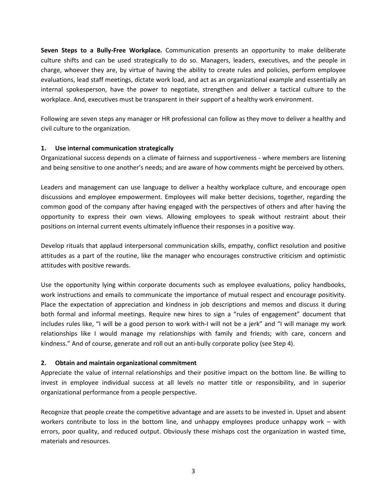**Seven Steps to a Bully-Free Workplace.** Communication presents an opportunity to make deliberate culture shifts and can be used strategically to do so. Managers, leaders, executives, and the people in charge, whoever they are, by virtue of having the ability to create rules and policies, perform employee evaluations, lead staff meetings, dictate work load, and act as an organizational example and essentially an internal spokesperson, have the power to negotiate, strengthen and deliver a tactical culture to the workplace. And, executives must be transparent in their support of a healthy work environment.

Following are seven steps any manager or HR professional can follow as they move to deliver a healthy and civil culture to the organization.

### **1. Use internal communication strategically**

Organizational success depends on a climate of fairness and supportiveness - where members are listening and being sensitive to one another's needs; and are aware of how comments might be perceived by others.

Leaders and management can use language to deliver a healthy workplace culture, and encourage open discussions and employee empowerment. Employees will make better decisions, together, regarding the common good of the company after having engaged with the perspectives of others and after having the opportunity to express their own views. Allowing employees to speak without restraint about their positions on internal current events ultimately influence their responses in a positive way.

Develop rituals that applaud interpersonal communication skills, empathy, conflict resolution and positive attitudes as a part of the routine, like the manager who encourages constructive criticism and optimistic attitudes with positive rewards.

Use the opportunity lying within corporate documents such as employee evaluations, policy handbooks, work instructions and emails to communicate the importance of mutual respect and encourage positivity. Place the expectation of appreciation and kindness in job descriptions and memos and discuss it during both formal and informal meetings. Require new hires to sign a "rules of engagement" document that includes rules like, "I will be a good person to work with-I will not be a jerk" and "I will manage my work relationships like I would manage my relationships with family and friends; with care, concern and kindness." And of course, generate and roll out an anti-bully corporate policy (see Step 4).

#### **2. Obtain and maintain organizational commitment**

Appreciate the value of internal relationships and their positive impact on the bottom line. Be willing to invest in employee individual success at all levels no matter title or responsibility, and in superior organizational performance from a people perspective.

Recognize that people create the competitive advantage and are assets to be invested in. Upset and absent workers contribute to loss in the bottom line, and unhappy employees produce unhappy work – with errors, poor quality, and reduced output. Obviously these mishaps cost the organization in wasted time, materials and resources.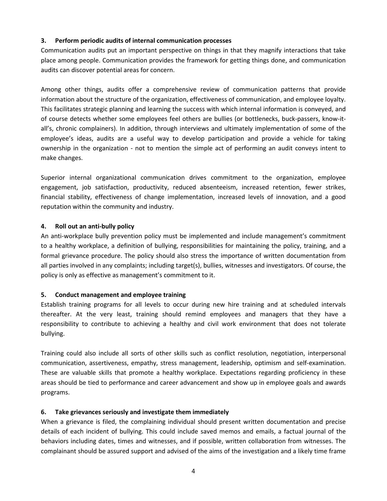### **3. Perform periodic audits of internal communication processes**

Communication audits put an important perspective on things in that they magnify interactions that take place among people. Communication provides the framework for getting things done, and communication audits can discover potential areas for concern.

Among other things, audits offer a comprehensive review of communication patterns that provide information about the structure of the organization, effectiveness of communication, and employee loyalty. This facilitates strategic planning and learning the success with which internal information is conveyed, and of course detects whether some employees feel others are bullies (or bottlenecks, buck-passers, know-itall's, chronic complainers). In addition, through interviews and ultimately implementation of some of the employee's ideas, audits are a useful way to develop participation and provide a vehicle for taking ownership in the organization - not to mention the simple act of performing an audit conveys intent to make changes.

Superior internal organizational communication drives commitment to the organization, employee engagement, job satisfaction, productivity, reduced absenteeism, increased retention, fewer strikes, financial stability, effectiveness of change implementation, increased levels of innovation, and a good reputation within the community and industry.

### **4. Roll out an anti-bully policy**

An anti-workplace bully prevention policy must be implemented and include management's commitment to a healthy workplace, a definition of bullying, responsibilities for maintaining the policy, training, and a formal grievance procedure. The policy should also stress the importance of written documentation from all parties involved in any complaints; including target(s), bullies, witnesses and investigators. Of course, the policy is only as effective as management's commitment to it.

#### **5. Conduct management and employee training**

Establish training programs for all levels to occur during new hire training and at scheduled intervals thereafter. At the very least, training should remind employees and managers that they have a responsibility to contribute to achieving a healthy and civil work environment that does not tolerate bullying.

Training could also include all sorts of other skills such as conflict resolution, negotiation, interpersonal communication, assertiveness, empathy, stress management, leadership, optimism and self-examination. These are valuable skills that promote a healthy workplace. Expectations regarding proficiency in these areas should be tied to performance and career advancement and show up in employee goals and awards programs.

## **6. Take grievances seriously and investigate them immediately**

When a grievance is filed, the complaining individual should present written documentation and precise details of each incident of bullying. This could include saved memos and emails, a factual journal of the behaviors including dates, times and witnesses, and if possible, written collaboration from witnesses. The complainant should be assured support and advised of the aims of the investigation and a likely time frame